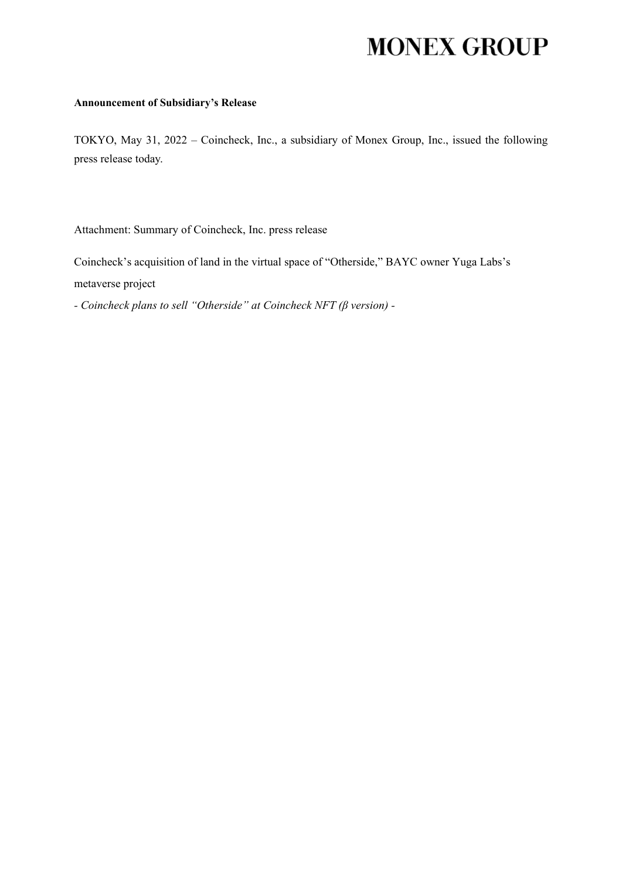## **MONEX GROUP**

## **Announcement of Subsidiary's Release**

TOKYO, May 31, 2022 – Coincheck, Inc., a subsidiary of Monex Group, Inc., issued the following press release today.

Attachment: Summary of Coincheck, Inc. press release

Coincheck's acquisition of land in the virtual space of "Otherside," BAYC owner Yuga Labs's metaverse project

*- Coincheck plans to sell "Otherside" at Coincheck NFT (β version) -*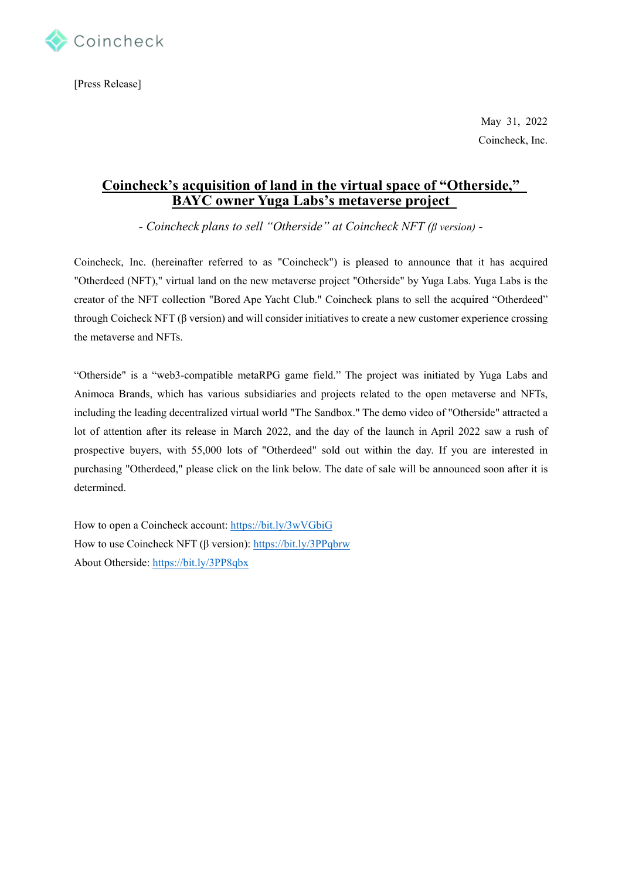

[Press Release]

May 31, 2022 Coincheck, Inc.

## **Coincheck's acquisition of land in the virtual space of "Otherside," BAYC owner Yuga Labs's metaverse project**

*- Coincheck plans to sell "Otherside" at Coincheck NFT (β version) -*

Coincheck, Inc. (hereinafter referred to as "Coincheck") is pleased to announce that it has acquired "Otherdeed (NFT)," virtual land on the new metaverse project "Otherside" by Yuga Labs. Yuga Labs is the creator of the NFT collection "Bored Ape Yacht Club." Coincheck plans to sell the acquired "Otherdeed" through Coicheck NFT (β version) and will consider initiatives to create a new customer experience crossing the metaverse and NFTs.

"Otherside" is a "web3-compatible metaRPG game field." The project was initiated by Yuga Labs and Animoca Brands, which has various subsidiaries and projects related to the open metaverse and NFTs, including the leading decentralized virtual world "The Sandbox." The demo video of "Otherside" attracted a lot of attention after its release in March 2022, and the day of the launch in April 2022 saw a rush of prospective buyers, with 55,000 lots of "Otherdeed" sold out within the day. If you are interested in purchasing "Otherdeed," please click on the link below. The date of sale will be announced soon after it is determined.

How to open a Coincheck account:<https://bit.ly/3wVGbiG> How to use Coincheck NFT (β version)[: https://bit.ly/3PPqbrw](https://bit.ly/3PPqbrw) About Otherside:<https://bit.ly/3PP8qbx>